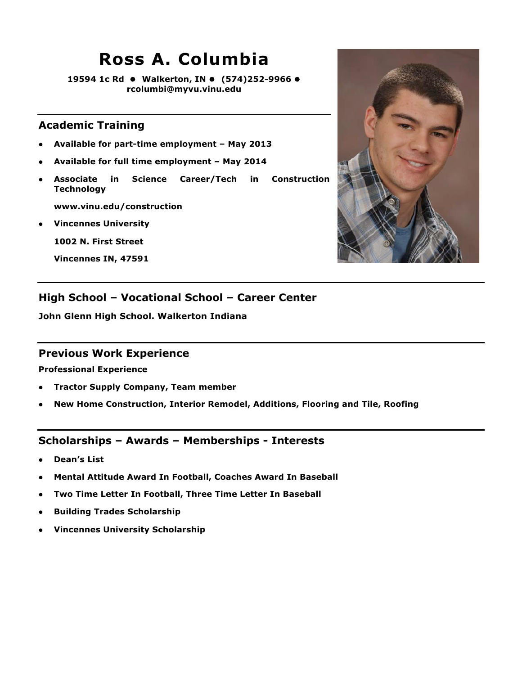### **Ross A. Columbia**

**19594 1c Rd Walkerton, IN (574)252-9966 rcolumbi@myvu.vinu.edu**

### **Academic Training**

- **Available for part-time employment May 2013**
- **Available for full time employment May 2014**
- **Associate in Science Career/Tech in Construction Technology**

**www.vinu.edu/construction**

**Vincennes University**

**1002 N. First Street**

**Vincennes IN, 47591**



### **High School – Vocational School – Career Center**

**John Glenn High School. Walkerton Indiana**

#### **Previous Work Experience**

**Professional Experience**

- **Tractor Supply Company, Team member**
- **New Home Construction, Interior Remodel, Additions, Flooring and Tile, Roofing**

- **Dean's List**
- **Mental Attitude Award In Football, Coaches Award In Baseball**
- **Two Time Letter In Football, Three Time Letter In Baseball**
- **Building Trades Scholarship**
- **Vincennes University Scholarship**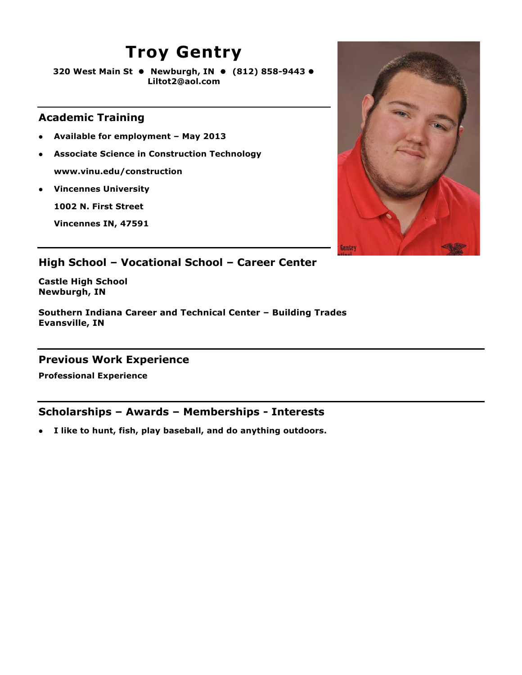### **Troy Gentry**

**320 West Main St Newburgh, IN (812) 858-9443 Liltot2@aol.com**

### **Academic Training**

- **Available for employment May 2013**
- **Associate Science in Construction Technology www.vinu.edu/construction**
- **Vincennes University**

**1002 N. First Street**

**Vincennes IN, 47591**



### **High School – Vocational School – Career Center**

**Castle High School Newburgh, IN**

**Southern Indiana Career and Technical Center – Building Trades Evansville, IN**

### **Previous Work Experience**

**Professional Experience**

### **Scholarships – Awards – Memberships - Interests**

**I like to hunt, fish, play baseball, and do anything outdoors.**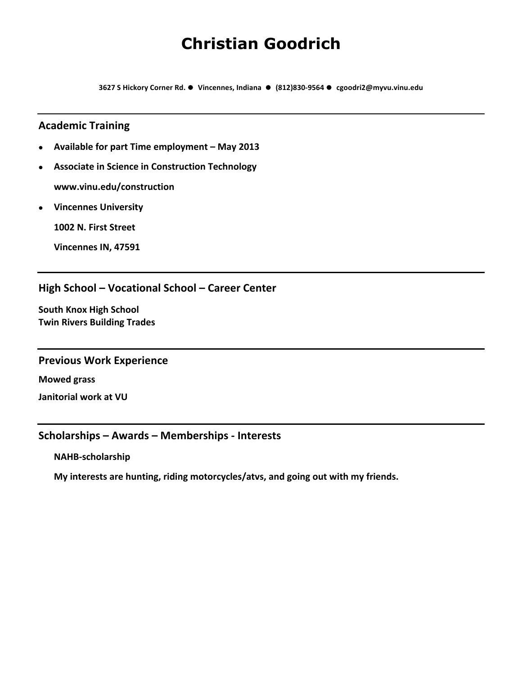### **Christian Goodrich**

**3627!S!Hickory!Corner!Rd.!!!Vincennes,!Indiana!!!!(812)830>9564!!!cgoodri2@myvu.vinu.edu**

#### **Academic!Training**

- **Available for part Time employment May 2013**
- **Associate in Science in Construction Technology www.vinu.edu/construction**
- **Vincennes!University**

**1002 N. First Street** 

**Vincennes IN, 47591** 

#### High School – Vocational School – Career Center

**South Knox High School Twin Rivers Building Trades** 

#### **Previous Work Experience**

**Mowed!grass Janitorial!work!at!VU**

#### Scholarships – Awards – Memberships - Interests

**NAHB>scholarship!**

My interests are hunting, riding motorcycles/atvs, and going out with my friends.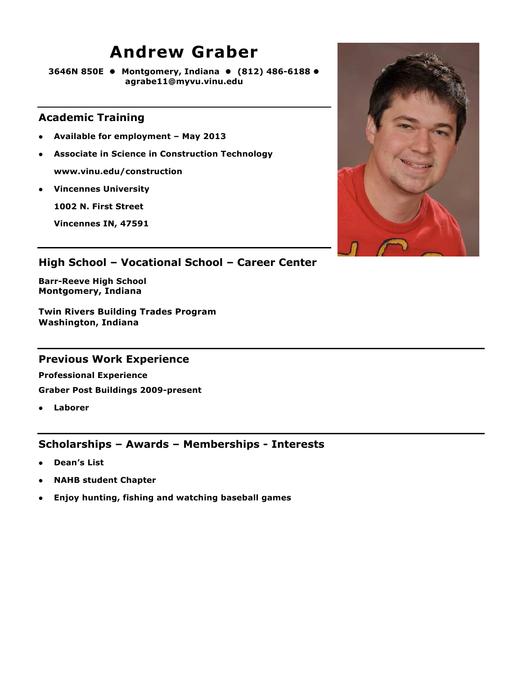### **Andrew Graber**

**3646N 850E Montgomery, Indiana (812) 486-6188 agrabe11@myvu.vinu.edu**

#### **Academic Training**

- **Available for employment May 2013**
- **Associate in Science in Construction Technology www.vinu.edu/construction**
- **Vincennes University**

**1002 N. First Street**

**Vincennes IN, 47591**



### **High School – Vocational School – Career Center**

**Barr-Reeve High School Montgomery, Indiana**

**Twin Rivers Building Trades Program Washington, Indiana**

### **Previous Work Experience**

**Professional Experience Graber Post Buildings 2009-present**

**Laborer** 

- **Dean's List**
- **NAHB student Chapter**
- **Enjoy hunting, fishing and watching baseball games**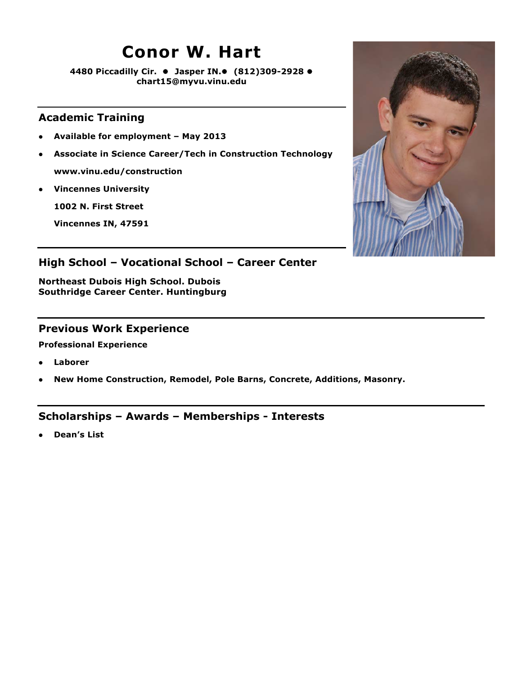### **Conor W. Hart**

**4480 Piccadilly Cir. Jasper IN. (812)309-2928 chart15@myvu.vinu.edu**

### **Academic Training**

- **Available for employment May 2013**
- **Associate in Science Career/Tech in Construction Technology www.vinu.edu/construction**
- **Vincennes University**

**1002 N. First Street**

**Vincennes IN, 47591**



### **High School – Vocational School – Career Center**

**Northeast Dubois High School. Dubois Southridge Career Center. Huntingburg**

#### **Previous Work Experience**

**Professional Experience**

- **Laborer**
- **New Home Construction, Remodel, Pole Barns, Concrete, Additions, Masonry.**

### **Scholarships – Awards – Memberships - Interests**

**Dean's List**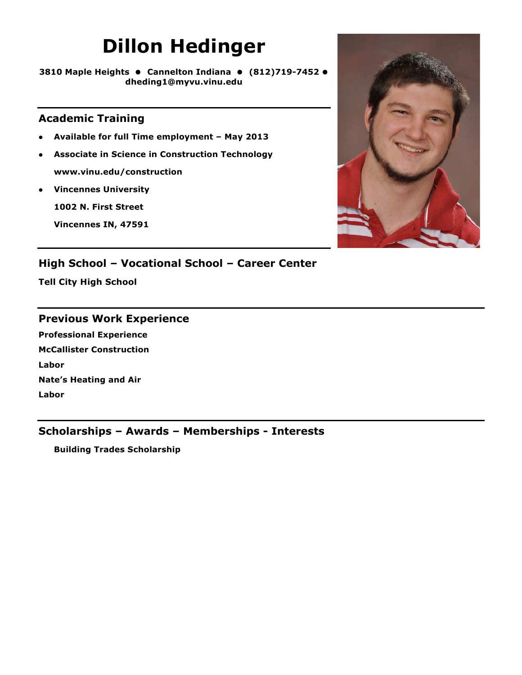# **Dillon Hedinger**

**3810 Maple Heights Cannelton Indiana (812)719-7452 dheding1@myvu.vinu.edu**

### **Academic Training**

- **Available for full Time employment May 2013**
- **Associate in Science in Construction Technology www.vinu.edu/construction**
- **Vincennes University**

**1002 N. First Street**

**Vincennes IN, 47591**



### **High School – Vocational School – Career Center**

**Tell City High School**

#### **Previous Work Experience**

**Professional Experience McCallister Construction Labor Nate's Heating and Air Labor**

### **Scholarships – Awards – Memberships - Interests**

**Building Trades Scholarship**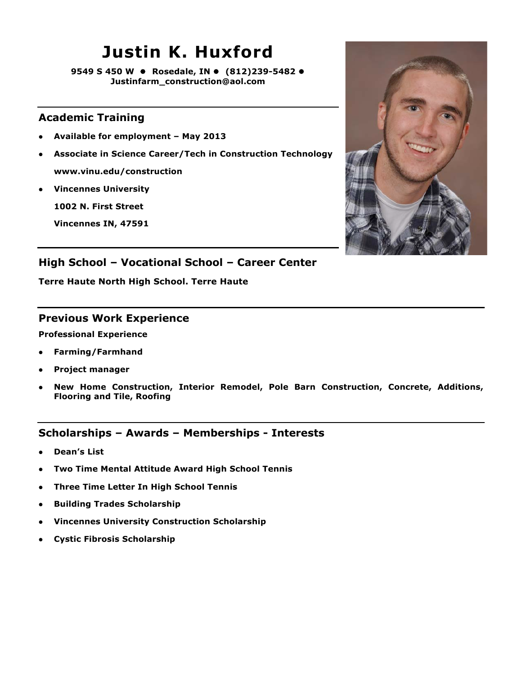## **Justin K. Huxford**

**9549 S 450 W Rosedale, IN (812)239-5482 Justinfarm\_construction@aol.com**

### **Academic Training**

- **Available for employment May 2013**
- **Associate in Science Career/Tech in Construction Technology www.vinu.edu/construction**
- **Vincennes University**

**1002 N. First Street**

**Vincennes IN, 47591**



### **High School – Vocational School – Career Center**

**Terre Haute North High School. Terre Haute**

### **Previous Work Experience**

**Professional Experience**

- **Farming/Farmhand**
- **Project manager**
- **New Home Construction, Interior Remodel, Pole Barn Construction, Concrete, Additions, Flooring and Tile, Roofing**

- **Dean's List**
- **Two Time Mental Attitude Award High School Tennis**
- **Three Time Letter In High School Tennis**
- **Building Trades Scholarship**
- **Vincennes University Construction Scholarship**
- **Cystic Fibrosis Scholarship**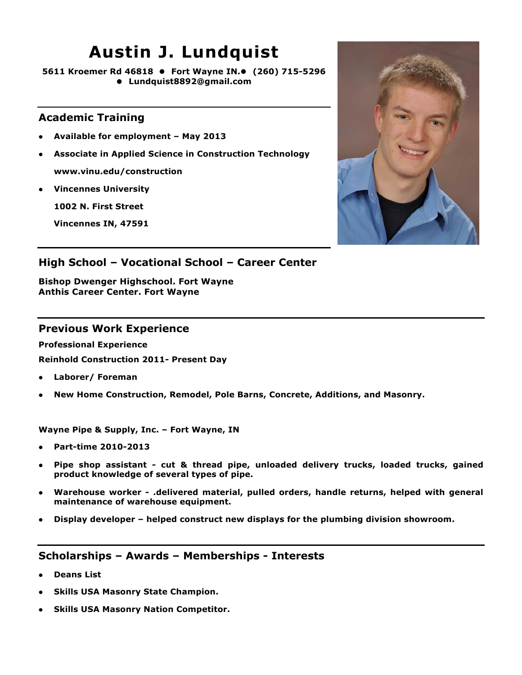### **Austin J. Lundquist**

**5611 Kroemer Rd 46818 Fort Wayne IN. (260) 715-5296 Lundquist8892@gmail.com**

### **Academic Training**

- **Available for employment May 2013**
- **Associate in Applied Science in Construction Technology www.vinu.edu/construction**
- **Vincennes University**

**1002 N. First Street**

**Vincennes IN, 47591**



### **High School – Vocational School – Career Center**

**Bishop Dwenger Highschool. Fort Wayne Anthis Career Center. Fort Wayne**

#### **Previous Work Experience**

**Professional Experience Reinhold Construction 2011- Present Day**

- **Laborer/ Foreman**
- **New Home Construction, Remodel, Pole Barns, Concrete, Additions, and Masonry.**

**Wayne Pipe & Supply, Inc. – Fort Wayne, IN**

- **Part-time 2010-2013**
- **Pipe shop assistant cut & thread pipe, unloaded delivery trucks, loaded trucks, gained product knowledge of several types of pipe.**
- **Warehouse worker .delivered material, pulled orders, handle returns, helped with general maintenance of warehouse equipment.**
- **Display developer helped construct new displays for the plumbing division showroom.**

- **Deans List**
- **Skills USA Masonry State Champion.**
- **Skills USA Masonry Nation Competitor.**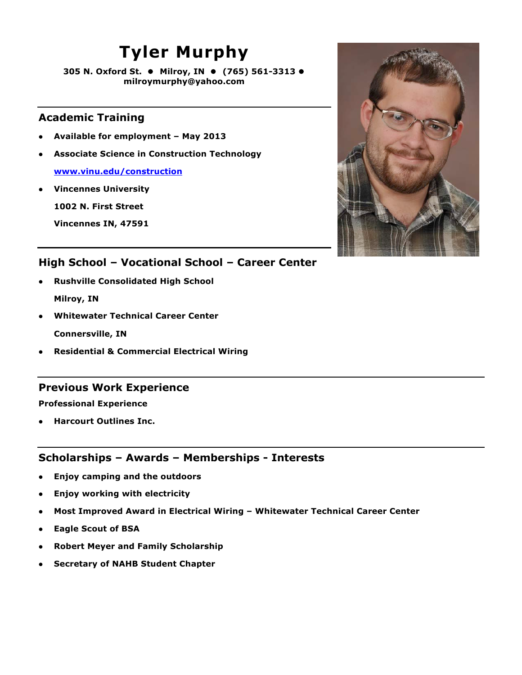## **Tyler Murphy**

**305 N. Oxford St. ● Milroy, IN ● (765) 561-3313 ● milroymurphy@yahoo.com**

### **Academic Training**

- **Available for employment May 2013**
- **Associate Science in Construction Technology**

**www.vinu.edu/construction**

**Vincennes University**

**1002 N. First Street**

**Vincennes IN, 47591**



### **High School – Vocational School – Career Center**

- **Rushville Consolidated High School Milroy, IN**
- **Whitewater Technical Career Center Connersville, IN**
- **Residential & Commercial Electrical Wiring**

### **Previous Work Experience**

**Professional Experience**

**Harcourt Outlines Inc.**

- **Enjoy camping and the outdoors**
- **Enjoy working with electricity**
- **Most Improved Award in Electrical Wiring Whitewater Technical Career Center**
- **Eagle Scout of BSA**
- **Robert Meyer and Family Scholarship**
- **Secretary of NAHB Student Chapter**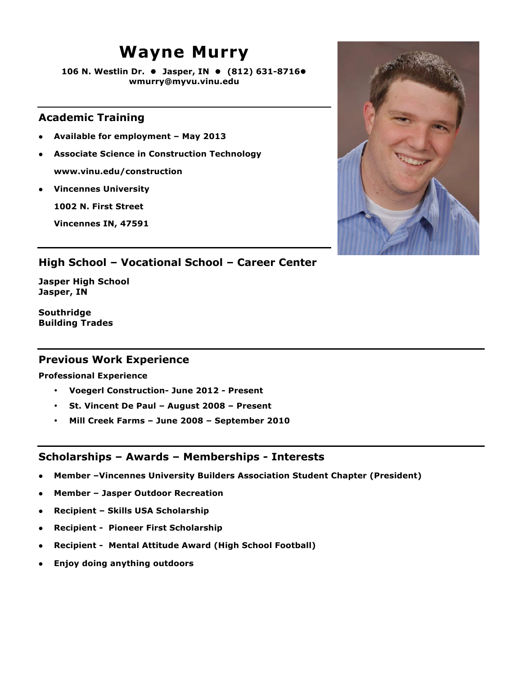### **Wayne Murry**

**106 N. Westlin Dr. Jasper, IN (812) 631-8716 wmurry@myvu.vinu.edu**

### **Academic Training**

- **Available for employment May 2013**
- **Associate Science in Construction Technology www.vinu.edu/construction**
- **Vincennes University**

**1002 N. First Street**

**Vincennes IN, 47591**



### **High School – Vocational School – Career Center**

**Jasper High School Jasper, IN**

**Southridge Building Trades**

### **Previous Work Experience**

**Professional Experience**

- **Voegerl Construction- June 2012 Present**
- **St. Vincent De Paul August 2008 Present**
- **Mill Creek Farms June 2008 September 2010**

- **Member –Vincennes University Builders Association Student Chapter (President)**
- **Member Jasper Outdoor Recreation**
- **Recipient Skills USA Scholarship**
- **Recipient Pioneer First Scholarship**
- **Recipient Mental Attitude Award (High School Football)**
- **Enjoy doing anything outdoors**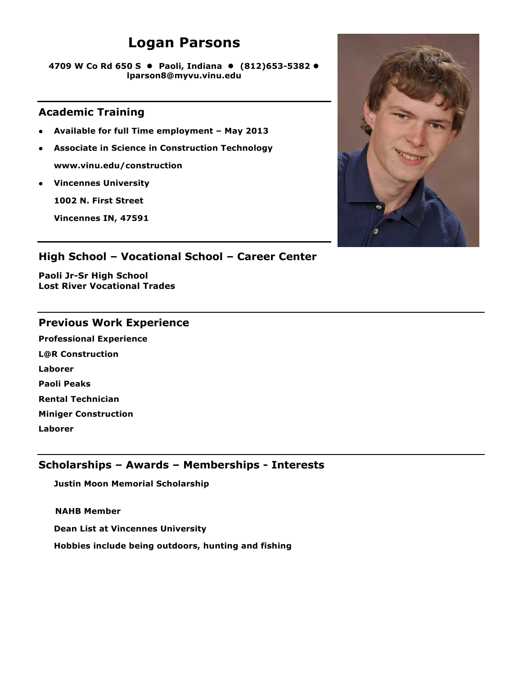### **Logan Parsons**

**4709 W Co Rd 650 S Paoli, Indiana (812)653-5382 lparson8@myvu.vinu.edu**

### **Academic Training**

- **Available for full Time employment May 2013**
- **Associate in Science in Construction Technology www.vinu.edu/construction**
- **Vincennes University**

**1002 N. First Street**

**Vincennes IN, 47591**



### **High School – Vocational School – Career Center**

**Paoli Jr-Sr High School Lost River Vocational Trades**

### **Previous Work Experience**

**Professional Experience L@R Construction Laborer Paoli Peaks Rental Technician Miniger Construction Laborer** 

### **Scholarships – Awards – Memberships - Interests**

**Justin Moon Memorial Scholarship**

 **NAHB Member**

**Dean List at Vincennes University**

**Hobbies include being outdoors, hunting and fishing**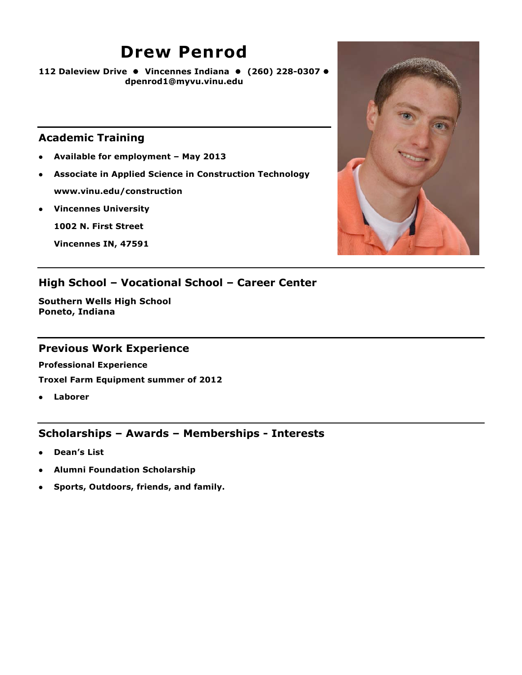### **Drew Penrod**

**112 Daleview Drive Vincennes Indiana (260) 228-0307 dpenrod1@myvu.vinu.edu**

#### **Academic Training**

- **Available for employment May 2013**
- **Associate in Applied Science in Construction Technology www.vinu.edu/construction**
- **Vincennes University**

**1002 N. First Street**

**Vincennes IN, 47591**



### **High School – Vocational School – Career Center**

**Southern Wells High School Poneto, Indiana**

### **Previous Work Experience**

**Professional Experience**

**Troxel Farm Equipment summer of 2012**

**Laborer** 

- **Dean's List**
- **Alumni Foundation Scholarship**
- **Sports, Outdoors, friends, and family.**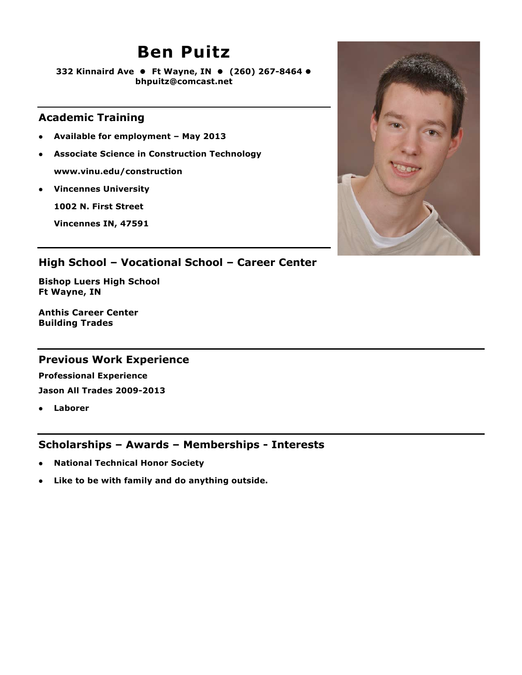### **Ben Puitz**

**332 Kinnaird Ave Ft Wayne, IN (260) 267-8464 bhpuitz@comcast.net**

### **Academic Training**

- **Available for employment May 2013**
- **Associate Science in Construction Technology www.vinu.edu/construction**
- **Vincennes University**

**1002 N. First Street**

**Vincennes IN, 47591**



### **High School – Vocational School – Career Center**

**Bishop Luers High School Ft Wayne, IN**

**Anthis Career Center Building Trades**

### **Previous Work Experience**

**Professional Experience Jason All Trades 2009-2013**

**Laborer** 

- **National Technical Honor Society**
- **Like to be with family and do anything outside.**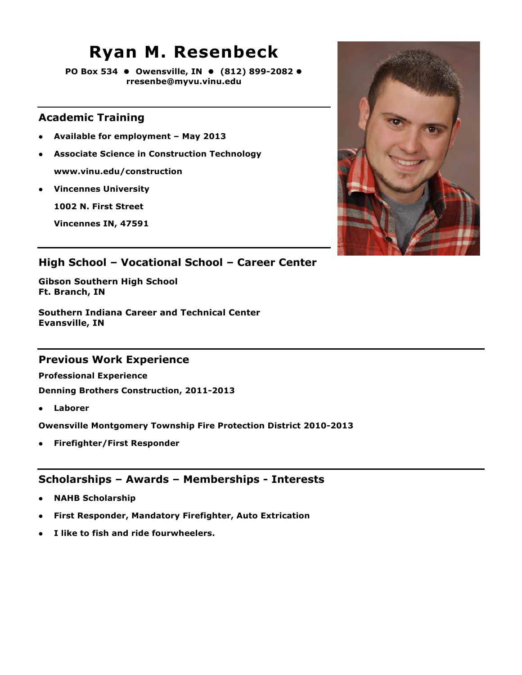### **Ryan M. Resenbeck**

**PO Box 534 Owensville, IN (812) 899-2082 rresenbe@myvu.vinu.edu**

### **Academic Training**

- **Available for employment May 2013**
- **Associate Science in Construction Technology www.vinu.edu/construction**
- **Vincennes University**

**1002 N. First Street**

**Vincennes IN, 47591**



### **High School – Vocational School – Career Center**

**Gibson Southern High School Ft. Branch, IN**

**Southern Indiana Career and Technical Center Evansville, IN**

### **Previous Work Experience**

**Professional Experience**

**Denning Brothers Construction, 2011-2013**

**Laborer** 

**Owensville Montgomery Township Fire Protection District 2010-2013**

**Firefighter/First Responder**

- **NAHB Scholarship**
- **First Responder, Mandatory Firefighter, Auto Extrication**
- **I like to fish and ride fourwheelers.**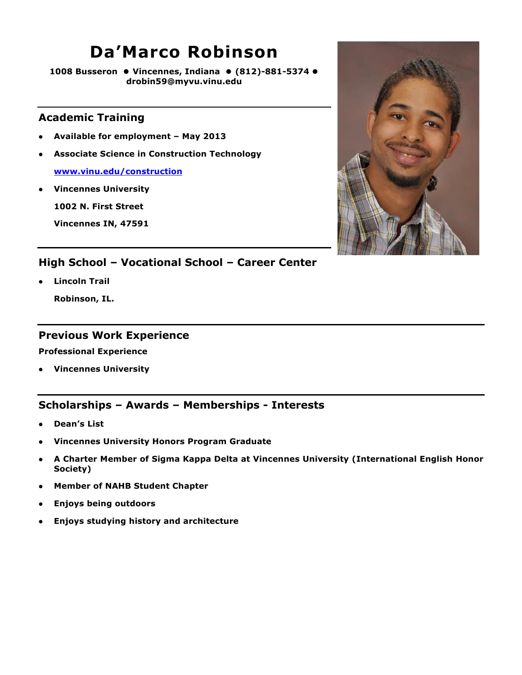### **Da'Marco Robinson**

**1008 Busseron Vincennes, Indiana (812)-881-5374 drobin59@myvu.vinu.edu**

### **Academic Training**

- **Available for employment May 2013**
- **Associate Science in Construction Technology**

**www.vinu.edu/construction**

**Vincennes University**

**1002 N. First Street**

**Vincennes IN, 47591**



### **High School – Vocational School – Career Center**

**Lincoln Trail** 

**Robinson, IL.**

#### **Previous Work Experience**

**Professional Experience**

**Vincennes University** 

- **Dean's List**
- **Vincennes University Honors Program Graduate**
- **A Charter Member of Sigma Kappa Delta at Vincennes University (International English Honor Society)**
- **Member of NAHB Student Chapter**
- **Enjoys being outdoors**
- **Enjoys studying history and architecture**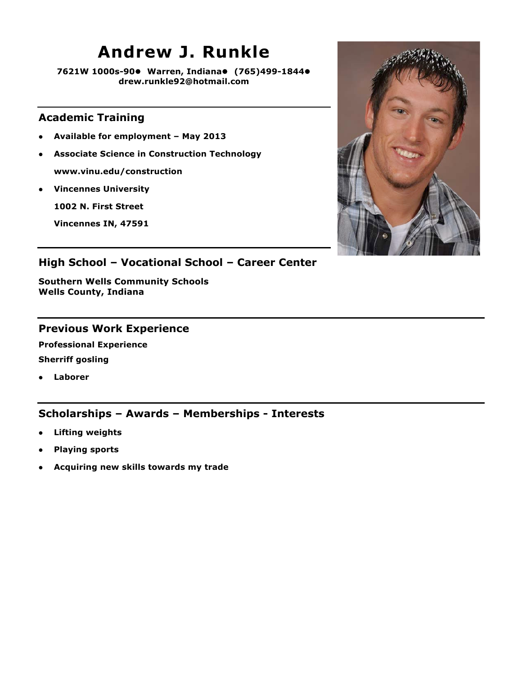### **Andrew J. Runkle**

**7621W 1000s-90 Warren, Indiana (765)499-1844 drew.runkle92@hotmail.com**

### **Academic Training**

- **Available for employment May 2013**
- **Associate Science in Construction Technology www.vinu.edu/construction**
- **Vincennes University**

**1002 N. First Street**

**Vincennes IN, 47591**



### **High School – Vocational School – Career Center**

**Southern Wells Community Schools Wells County, Indiana** 

#### **Previous Work Experience**

**Professional Experience Sherriff gosling** 

**Laborer** 

- **Lifting weights**
- **Playing sports**
- **Acquiring new skills towards my trade**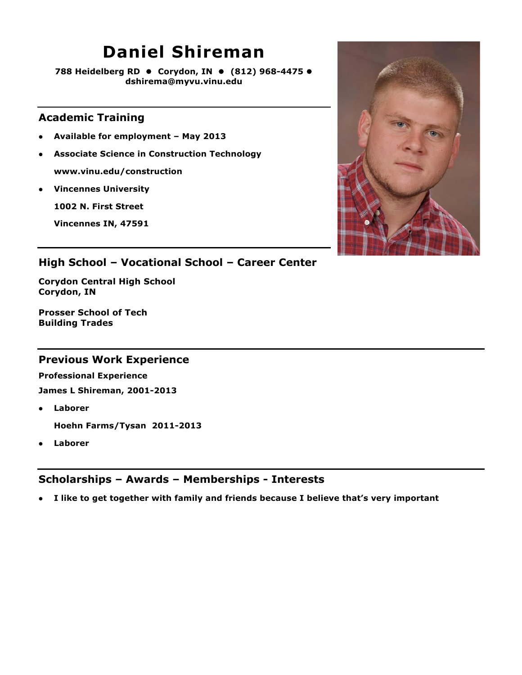## **Daniel Shireman**

**788 Heidelberg RD ● Corydon, IN ● (812) 968-4475 ● dshirema@myvu.vinu.edu**

### **Academic Training**

- **Available for employment May 2013**
- **Associate Science in Construction Technology www.vinu.edu/construction**
- **Vincennes University**

**1002 N. First Street**

**Vincennes IN, 47591**



### **High School – Vocational School – Career Center**

**Corydon Central High School Corydon, IN**

**Prosser School of Tech Building Trades**

### **Previous Work Experience**

**Professional Experience James L Shireman, 2001-2013**

**Laborer** 

**Hoehn Farms/Tysan 2011-2013**

**Laborer**

### **Scholarships – Awards – Memberships - Interests**

**I like to get together with family and friends because I believe that's very important**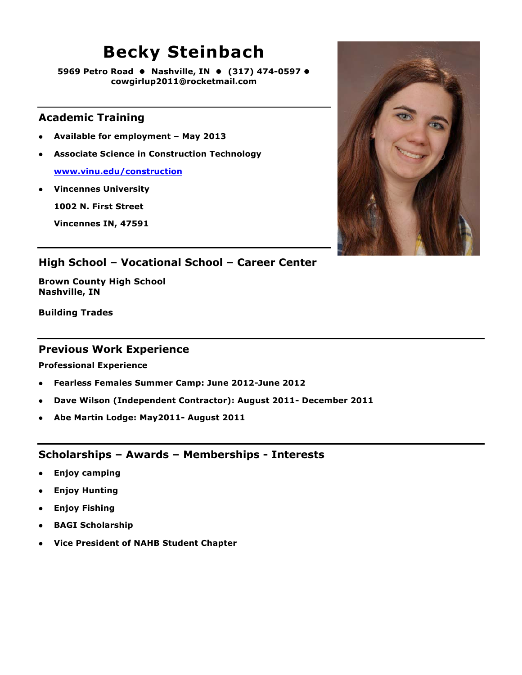## **Becky Steinbach**

**5969 Petro Road Nashville, IN (317) 474-0597 cowgirlup2011@rocketmail.com**

### **Academic Training**

- **Available for employment May 2013**
- **Associate Science in Construction Technology**

**www.vinu.edu/construction**

**Vincennes University**

**1002 N. First Street**

**Vincennes IN, 47591**



### **High School – Vocational School – Career Center**

**Brown County High School Nashville, IN**

**Building Trades**

#### **Previous Work Experience**

**Professional Experience**

- **Fearless Females Summer Camp: June 2012-June 2012**
- **Dave Wilson (Independent Contractor): August 2011- December 2011**
- **Abe Martin Lodge: May2011- August 2011**

- **Enjoy camping**
- **Enjoy Hunting**
- **Enjoy Fishing**
- **BAGI Scholarship**
- **Vice President of NAHB Student Chapter**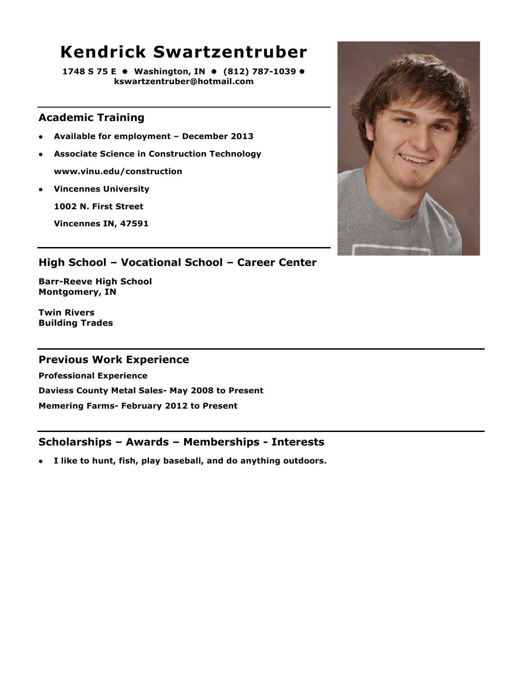### **Kendrick Swartzentruber**

**1748 S 75 E ● Washington, IN ● (812) 787-1039 ● kswartzentruber@hotmail.com**

### **Academic Training**

- **Available for employment December 2013**
- **Associate Science in Construction Technology www.vinu.edu/construction**
- **Vincennes University**

**1002 N. First Street**

**Vincennes IN, 47591**



### **High School – Vocational School – Career Center**

**Barr-Reeve High School Montgomery, IN**

**Twin Rivers Building Trades**

### **Previous Work Experience**

**Professional Experience Daviess County Metal Sales- May 2008 to Present Memering Farms- February 2012 to Present**

### **Scholarships – Awards – Memberships - Interests**

**I like to hunt, fish, play baseball, and do anything outdoors.**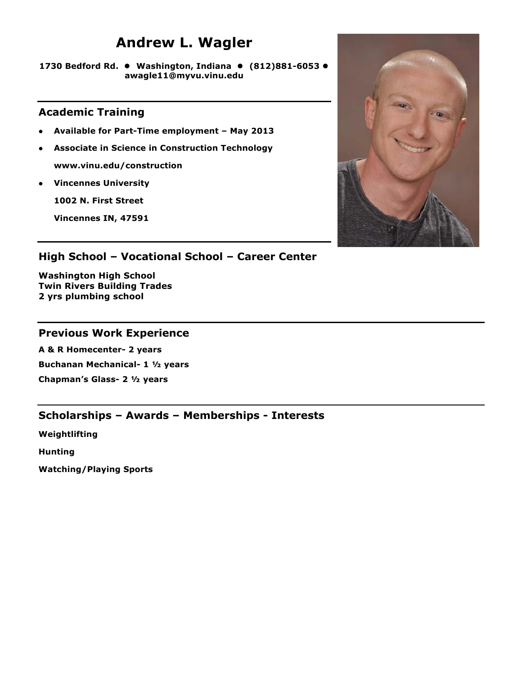### **Andrew L. Wagler**

**1730 Bedford Rd. Washington, Indiana (812)881-6053 awagle11@myvu.vinu.edu**

### **Academic Training**

- **Available for Part-Time employment May 2013**
- **Associate in Science in Construction Technology www.vinu.edu/construction**
- **Vincennes University**

**1002 N. First Street**

**Vincennes IN, 47591**



### **High School – Vocational School – Career Center**

**Washington High School Twin Rivers Building Trades 2 yrs plumbing school**

### **Previous Work Experience**

**A & R Homecenter- 2 years Buchanan Mechanical- 1 ½ years Chapman's Glass- 2 ½ years**

### **Scholarships – Awards – Memberships - Interests**

**Weightlifting**

**Hunting**

**Watching/Playing Sports**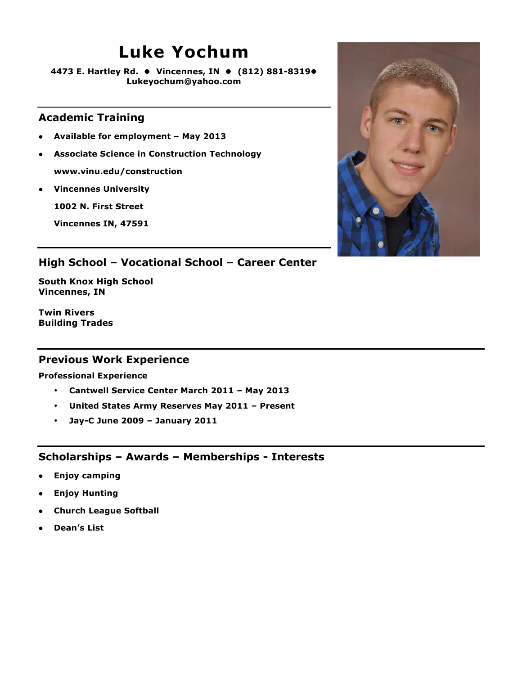### **Luke Yochum**

**4473 E. Hartley Rd. Vincennes, IN (812) 881-8319 Lukeyochum@yahoo.com**

### **Academic Training**

- **Available for employment May 2013**
- **Associate Science in Construction Technology www.vinu.edu/construction**
- **Vincennes University**

**1002 N. First Street**

**Vincennes IN, 47591**



### **High School – Vocational School – Career Center**

**South Knox High School Vincennes, IN**

**Twin Rivers Building Trades**

### **Previous Work Experience**

**Professional Experience**

- **Cantwell Service Center March 2011 May 2013**
- **United States Army Reserves May 2011 Present**
- **Jay-C June 2009 January 2011**

- **Enjoy camping**
- **Enjoy Hunting**
- **Church League Softball**
- **Dean's List**